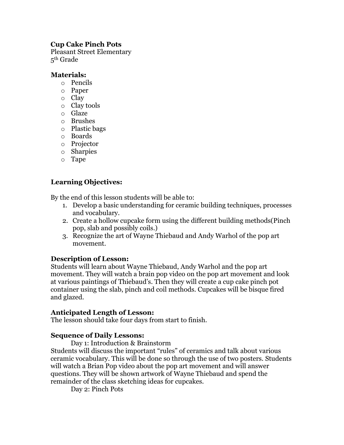# **Cup Cake Pinch Pots**

Pleasant Street Elementary 5th Grade

### **Materials:**

- o Pencils
- o Paper
- o Clay
- o Clay tools
- o Glaze
- o Brushes
- o Plastic bags
- o Boards
- o Projector
- o Sharpies
- o Tape

# **Learning Objectives:**

By the end of this lesson students will be able to:

- 1. Develop a basic understanding for ceramic building techniques, processes and vocabulary.
- 2. Create a hollow cupcake form using the different building methods(Pinch pop, slab and possibly coils.)
- 3. Recognize the art of Wayne Thiebaud and Andy Warhol of the pop art movement.

## **Description of Lesson:**

Students will learn about Wayne Thiebaud, Andy Warhol and the pop art movement. They will watch a brain pop video on the pop art movement and look at various paintings of Thiebaud's. Then they will create a cup cake pinch pot container using the slab, pinch and coil methods. Cupcakes will be bisque fired and glazed.

## **Anticipated Length of Lesson:**

The lesson should take four days from start to finish.

## **Sequence of Daily Lessons:**

Day 1: Introduction & Brainstorm

Students will discuss the important "rules" of ceramics and talk about various ceramic vocabulary. This will be done so through the use of two posters. Students will watch a Brian Pop video about the pop art movement and will answer questions. They will be shown artwork of Wayne Thiebaud and spend the remainder of the class sketching ideas for cupcakes.

Day 2: Pinch Pots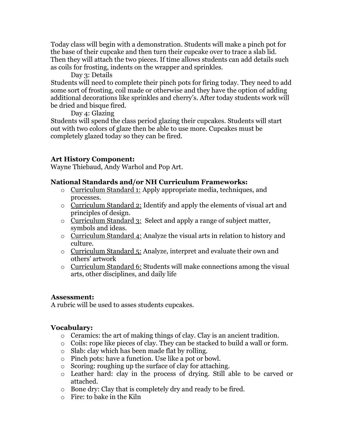Today class will begin with a demonstration. Students will make a pinch pot for the base of their cupcake and then turn their cupcake over to trace a slab lid. Then they will attach the two pieces. If time allows students can add details such as coils for frosting, indents on the wrapper and sprinkles.

Day 3: Details

Students will need to complete their pinch pots for firing today. They need to add some sort of frosting, coil made or otherwise and they have the option of adding additional decorations like sprinkles and cherry's. After today students work will be dried and bisque fired.

Day 4: Glazing

Students will spend the class period glazing their cupcakes. Students will start out with two colors of glaze then be able to use more. Cupcakes must be completely glazed today so they can be fired.

# **Art History Component:**

Wayne Thiebaud, Andy Warhol and Pop Art.

## **National Standards and/or NH Curriculum Frameworks:**

- o Curriculum Standard 1: Apply appropriate media, techniques, and processes.
- o Curriculum Standard 2: Identify and apply the elements of visual art and principles of design.
- o Curriculum Standard 3: Select and apply a range of subject matter, symbols and ideas.
- o Curriculum Standard 4: Analyze the visual arts in relation to history and culture.
- o Curriculum Standard 5: Analyze, interpret and evaluate their own and others' artwork
- o Curriculum Standard 6: Students will make connections among the visual arts, other disciplines, and daily life

## **Assessment:**

A rubric will be used to asses students cupcakes.

## **Vocabulary:**

- $\circ$  Ceramics: the art of making things of clay. Clay is an ancient tradition.
- o Coils: rope like pieces of clay. They can be stacked to build a wall or form.
- o Slab: clay which has been made flat by rolling.
- o Pinch pots: have a function. Use like a pot or bowl.
- o Scoring: roughing up the surface of clay for attaching.
- o Leather hard: clay in the process of drying. Still able to be carved or attached.
- o Bone dry: Clay that is completely dry and ready to be fired.
- o Fire: to bake in the Kiln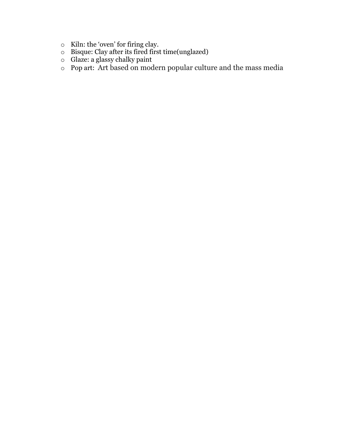- o Kiln: the 'oven' for firing clay.
- o Bisque: Clay after its fired first time(unglazed)
- o Glaze: a glassy chalky paint
- o Pop art: Art based on modern popular culture and the mass media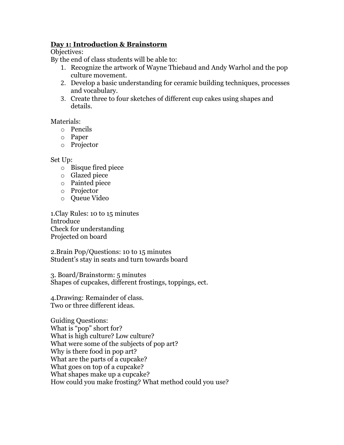### **Day 1: Introduction & Brainstorm**

Objectives:

By the end of class students will be able to:

- 1. Recognize the artwork of Wayne Thiebaud and Andy Warhol and the pop culture movement.
- 2. Develop a basic understanding for ceramic building techniques, processes and vocabulary.
- 3. Create three to four sketches of different cup cakes using shapes and details.

Materials:

- o Pencils
- o Paper
- o Projector

### Set Up:

- o Bisque fired piece
- o Glazed piece
- o Painted piece
- o Projector
- o Queue Video

1.Clay Rules: 10 to 15 minutes Introduce Check for understanding Projected on board

2.Brain Pop/Questions: 10 to 15 minutes Student's stay in seats and turn towards board

3. Board/Brainstorm: 5 minutes Shapes of cupcakes, different frostings, toppings, ect.

4.Drawing: Remainder of class. Two or three different ideas.

Guiding Questions: What is "pop" short for? What is high culture? Low culture? What were some of the subjects of pop art? Why is there food in pop art? What are the parts of a cupcake? What goes on top of a cupcake? What shapes make up a cupcake? How could you make frosting? What method could you use?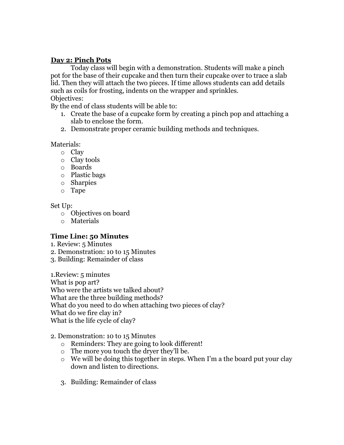### **Day 2: Pinch Pots**

Today class will begin with a demonstration. Students will make a pinch pot for the base of their cupcake and then turn their cupcake over to trace a slab lid. Then they will attach the two pieces. If time allows students can add details such as coils for frosting, indents on the wrapper and sprinkles. Objectives:

By the end of class students will be able to:

- 1. Create the base of a cupcake form by creating a pinch pop and attaching a slab to enclose the form.
- 2. Demonstrate proper ceramic building methods and techniques.

Materials:

- o Clay
- o Clay tools
- o Boards
- o Plastic bags
- o Sharpies
- o Tape

Set Up:

- o Objectives on board
- o Materials

## **Time Line: 50 Minutes**

- 1. Review: 5 Minutes
- 2. Demonstration: 10 to 15 Minutes
- 3. Building: Remainder of class

1.Review: 5 minutes What is pop art? Who were the artists we talked about? What are the three building methods? What do you need to do when attaching two pieces of clay? What do we fire clay in? What is the life cycle of clay?

2. Demonstration: 10 to 15 Minutes

- o Reminders: They are going to look different!
- o The more you touch the dryer they'll be.
- o We will be doing this together in steps. When I'm a the board put your clay down and listen to directions.
- 3. Building: Remainder of class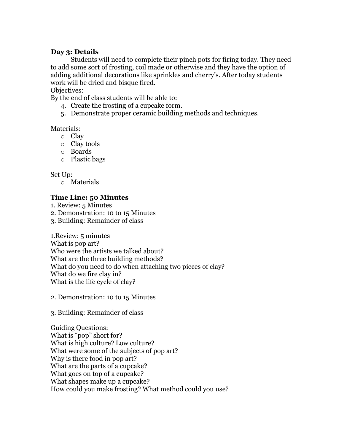#### **Day 3: Details**

Students will need to complete their pinch pots for firing today. They need to add some sort of frosting, coil made or otherwise and they have the option of adding additional decorations like sprinkles and cherry's. After today students work will be dried and bisque fired.

#### Objectives:

By the end of class students will be able to:

- 4. Create the frosting of a cupcake form.
- 5. Demonstrate proper ceramic building methods and techniques.

#### Materials:

- o Clay
- o Clay tools
- o Boards
- o Plastic bags

Set Up:

o Materials

## **Time Line: 50 Minutes**

1. Review: 5 Minutes

- 2. Demonstration: 10 to 15 Minutes
- 3. Building: Remainder of class

1.Review: 5 minutes What is pop art? Who were the artists we talked about? What are the three building methods? What do you need to do when attaching two pieces of clay? What do we fire clay in? What is the life cycle of clay?

- 2. Demonstration: 10 to 15 Minutes
- 3. Building: Remainder of class

Guiding Questions: What is "pop" short for? What is high culture? Low culture? What were some of the subjects of pop art? Why is there food in pop art? What are the parts of a cupcake? What goes on top of a cupcake? What shapes make up a cupcake? How could you make frosting? What method could you use?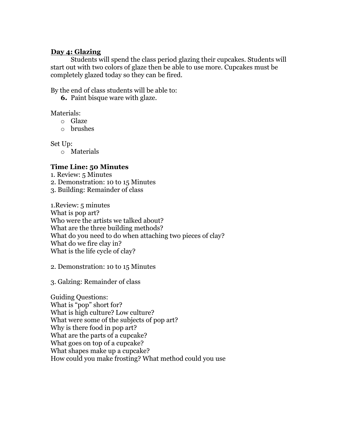### **Day 4: Glazing**

Students will spend the class period glazing their cupcakes. Students will start out with two colors of glaze then be able to use more. Cupcakes must be completely glazed today so they can be fired.

By the end of class students will be able to:

**6.** Paint bisque ware with glaze.

Materials:

- o Glaze
- o brushes

Set Up:

o Materials

## **Time Line: 50 Minutes**

1. Review: 5 Minutes

- 2. Demonstration: 10 to 15 Minutes
- 3. Building: Remainder of class

1.Review: 5 minutes What is pop art? Who were the artists we talked about? What are the three building methods? What do you need to do when attaching two pieces of clay? What do we fire clay in? What is the life cycle of clay?

2. Demonstration: 10 to 15 Minutes

3. Galzing: Remainder of class

Guiding Questions: What is "pop" short for? What is high culture? Low culture? What were some of the subjects of pop art? Why is there food in pop art? What are the parts of a cupcake? What goes on top of a cupcake? What shapes make up a cupcake? How could you make frosting? What method could you use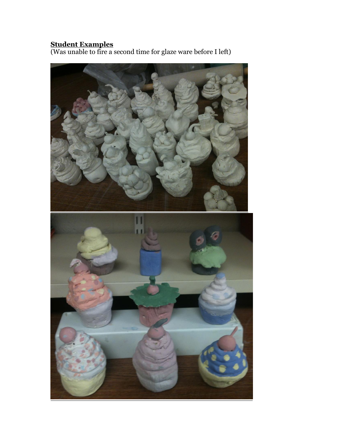### **Student Examples**

(Was unable to fire a second time for glaze ware before I left)